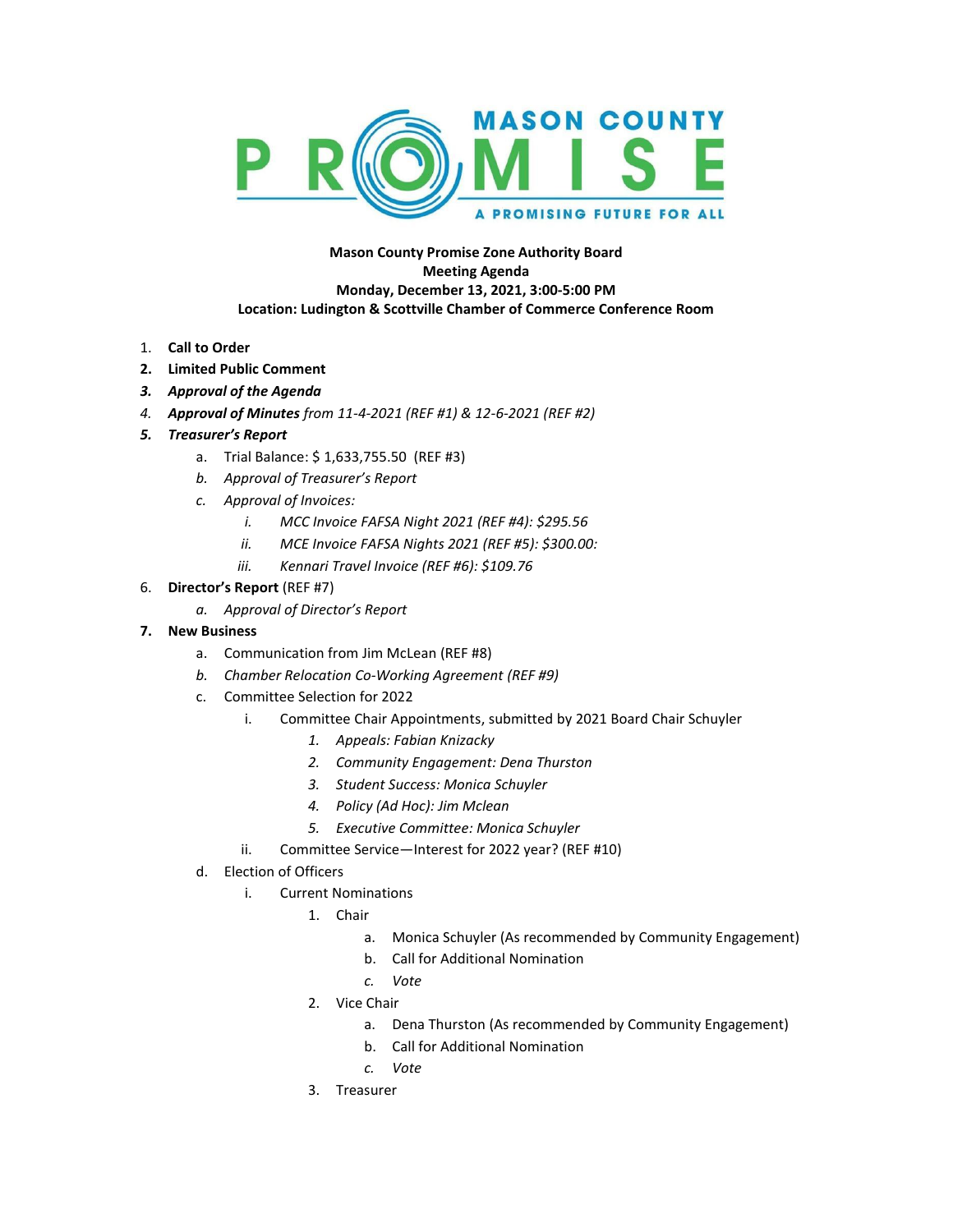

## **Mason County Promise Zone Authority Board Meeting Agenda Monday, December 13, 2021, 3:00-5:00 PM Location: Ludington & Scottville Chamber of Commerce Conference Room**

- 1. **Call to Order**
- **2. Limited Public Comment**
- *3. Approval of the Agenda*
- *4. Approval of Minutes from 11-4-2021 (REF #1) & 12-6-2021 (REF #2)*
- *5. Treasurer's Report*
	- a. Trial Balance: \$ 1,633,755.50 (REF #3)
	- *b. Approval of Treasurer's Report*
	- *c. Approval of Invoices:*
		- *i. MCC Invoice FAFSA Night 2021 (REF #4): \$295.56*
		- *ii. MCE Invoice FAFSA Nights 2021 (REF #5): \$300.00:*
		- *iii. Kennari Travel Invoice (REF #6): \$109.76*

## 6. **Director's Report** (REF #7)

- *a. Approval of Director's Report*
- **7. New Business**
	- a. Communication from Jim McLean (REF #8)
	- *b. Chamber Relocation Co-Working Agreement (REF #9)*
	- c. Committee Selection for 2022
		- i. Committee Chair Appointments, submitted by 2021 Board Chair Schuyler
			- *1. Appeals: Fabian Knizacky*
			- *2. Community Engagement: Dena Thurston*
			- *3. Student Success: Monica Schuyler*
			- *4. Policy (Ad Hoc): Jim Mclean*
			- *5. Executive Committee: Monica Schuyler*
		- ii. Committee Service—Interest for 2022 year? (REF #10)
	- d. Election of Officers
		- i. Current Nominations
			- 1. Chair
				- a. Monica Schuyler (As recommended by Community Engagement)
				- b. Call for Additional Nomination
				- *c. Vote*
			- 2. Vice Chair
				- a. Dena Thurston (As recommended by Community Engagement)
				- b. Call for Additional Nomination
				- *c. Vote*
			- 3. Treasurer